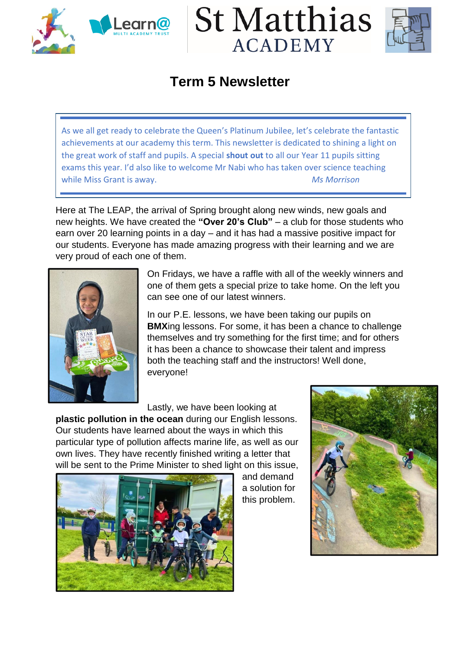





## **Term 5 Newsletter**

As we all get ready to celebrate the Queen's Platinum Jubilee, let's celebrate the fantastic achievements at our academy this term. This newsletter is dedicated to shining a light on the great work of staff and pupils. A special **shout out** to all our Year 11 pupils sitting exams this year. I'd also like to welcome Mr Nabi who has taken over science teaching while Miss Grant is away. *Ms Morrison*

Here at The LEAP, the arrival of Spring brought along new winds, new goals and new heights. We have created the **"Over 20's Club"** – a club for those students who earn over 20 learning points in a day – and it has had a massive positive impact for our students. Everyone has made amazing progress with their learning and we are very proud of each one of them.



On Fridays, we have a raffle with all of the weekly winners and one of them gets a special prize to take home. On the left you can see one of our latest winners.

In our P.E. lessons, we have been taking our pupils on **BMX**ing lessons. For some, it has been a chance to challenge themselves and try something for the first time; and for others it has been a chance to showcase their talent and impress both the teaching staff and the instructors! Well done, everyone!

Lastly, we have been looking at

**plastic pollution in the ocean** during our English lessons. Our students have learned about the ways in which this particular type of pollution affects marine life, as well as our own lives. They have recently finished writing a letter that will be sent to the Prime Minister to shed light on this issue,



and demand a solution for this problem.

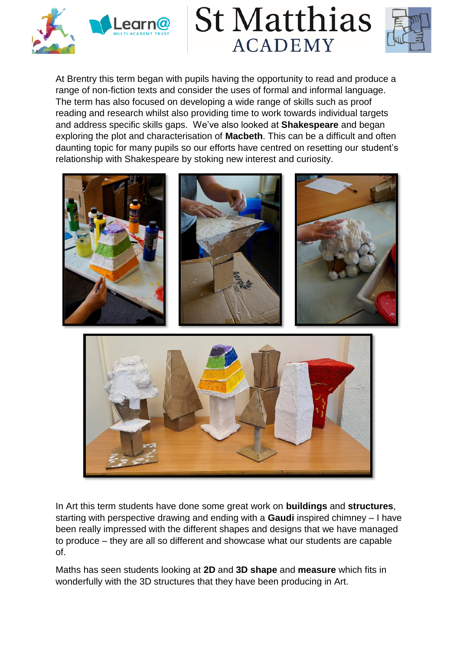





At Brentry this term began with pupils having the opportunity to read and produce a range of non-fiction texts and consider the uses of formal and informal language. The term has also focused on developing a wide range of skills such as proof reading and research whilst also providing time to work towards individual targets and address specific skills gaps. We've also looked at **Shakespeare** and began exploring the plot and characterisation of **Macbeth**. This can be a difficult and often daunting topic for many pupils so our efforts have centred on resetting our student's relationship with Shakespeare by stoking new interest and curiosity.



In Art this term students have done some great work on **buildings** and **structures**, starting with perspective drawing and ending with a **Gaudi** inspired chimney – I have been really impressed with the different shapes and designs that we have managed to produce – they are all so different and showcase what our students are capable of.

Maths has seen students looking at **2D** and **3D shape** and **measure** which fits in wonderfully with the 3D structures that they have been producing in Art.